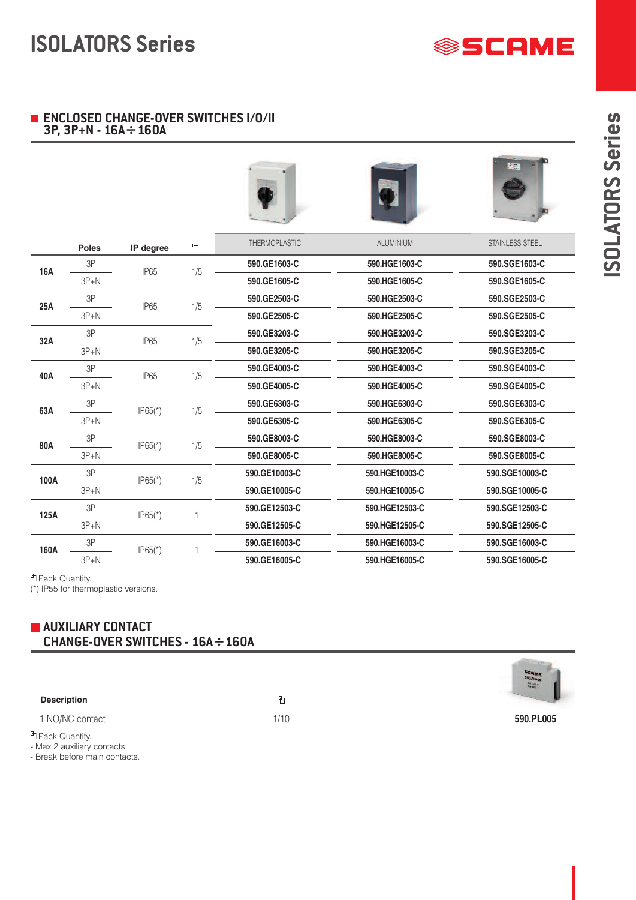

**)I)J)H)F)U)R)E)?)G)G)U)?+)°)U)D)E)X)Q)y)L)?)E)B+iBpBii + Gq8+Gq7o+9+DKa∑DKCa**

**)K)l)\_)i)\_)g)v+ )L)?)J)F)H)I)E)y)K)L)B)D )y)E)X)F)B)G)B)C )G)?)J)@)y)°)?)X)S)y)Y+)K)L)y)E)V)I)h)e)x)k)Z**  $\overline{\mathbb{D}}$ **)剃扣u** 3P **590.GE1603-C 590.HGE1603-C 590.SGE1603-C 16A** IP65 1/5 **590.HGE1605-C** 3P+N **590.GE1605-C 590.SGE1605-C** 3P **590.GE2503-C 590.HGE2503-C 590.SGE2503-C 25A** IP65 1/5 3P+N **590.GE2505-C 590.HGE2505-C 590.SGE2505-C** 3P **590.GE3203-C 590.HGE3203-C 590.SGE3203-C 32A** IP65 1/5 3P+N **590.GE3205-C 590.HGE3205-C 590.SGE3205-C** 3P **590.GE4003-C 590.HGE4003-C 590.SGE4003-C 40A** IP65 1/5 3P+N **590.HGE4005-C 590.SGE4005-C 590.GE4005-C** 3P **590.GE6303-C 590.HGE6303-C 590.SGE6303-C 63A** IP65(\*) 1/5 3P+N **590.HGE6305-C 590.GE6305-C 590.SGE6305-C** 3P **590.HGE8003-C 590.SGE8003-C 590.GE8003-C 80A**  $IP65(*)$  1/5 3P+N **590.GE8005-C 590.HGE8005-C 590.SGE8005-C** 3P **590.GE10003-C 590.HGE10003-C 590.SGE10003-C 100A** IP65(\*) 1/5 3P+N **590.GE10005-C 590.HGE10005-C 590.SGE10005-C** 3P **590.GE12503-C 590.HGE12503-C 590.SGE12503-C** IP65(\*) 1 **125A** 3P+N **590.GE12505-C 590.HGE12505-C 590.SGE12505-C** 3P **590.GE16003-C 590.HGE16003-C 590.SGE16003-C 160A**  $IP65(*)$  1  $3P+N$ **590.GE16005-C 590.HGE16005-C 590.SGE16005-C**

**+)M)i)Z)d)h)\)d)ZA**

**465+iqII+)\)\_)j)k)b)y+)b)a+)l)\_)j)f)h)i)e)Z)k)l)b)d)ZA**

### **)>)H)I)H)E)G)B)L)?)E)V)G)U)C+)D)H)G)L)y)D)L** °)**)II)**)y)))jE9+DKaDKCa

**)H)i)b)k)Z)g)b)\_**

**D+opBoc+)did))d** 590.PL005

**)M)i)Z)d)h)\)d)ZA**

 $9++))$ ) $dA+E+))$ h)ha+) $d$ h)) $dA$ 

**9++)J)Z)a)j)u)\+)i)\_)j)\_)^+)])e)Z)\)g)u)f)b+)d)h)g)l)Z)d)l)Z)f)bA**

肋

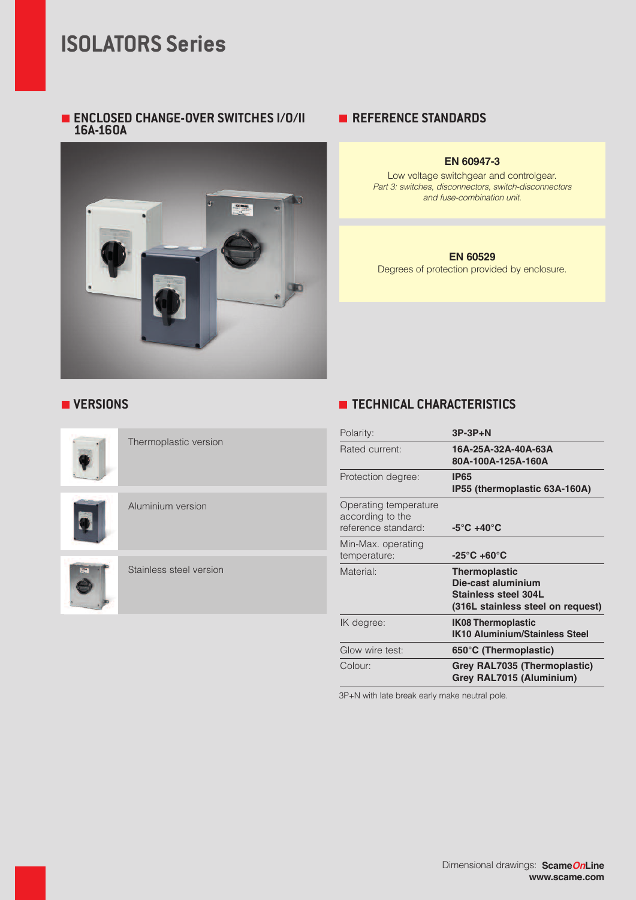# **ISOLATORS Series**

#### **ENCLOSED CHANGE-OVER SWITCHES I/O/II 16A-160A**



### **REFERENCE STANDARDS**

#### **EN 60947-3**

Low voltage switchgear and controlgear. Part 3: switches, disconnectors, switch-disconnectors and fuse-combination unit.

#### **EN 60529**

Degrees of protection provided by enclosure.



Thermoplastic version

Aluminium version



Stainless steel version

### **VERSIONS TECHNICAL CHARACTERISTICS**

| Polarity:                                                        | $3P-3P+N$                                                                                                      |
|------------------------------------------------------------------|----------------------------------------------------------------------------------------------------------------|
| Rated current:                                                   | 16A-25A-32A-40A-63A<br>80A-100A-125A-160A                                                                      |
| Protection degree:                                               | <b>IP65</b><br>IP55 (thermoplastic 63A-160A)                                                                   |
| Operating temperature<br>according to the<br>reference standard: | $-5^{\circ}$ C +40 $^{\circ}$ C                                                                                |
| Min-Max. operating<br>temperature:                               | $-25^{\circ}$ C +60 $^{\circ}$ C                                                                               |
| Material:                                                        | <b>Thermoplastic</b><br>Die-cast aluminium<br><b>Stainless steel 304L</b><br>(316L stainless steel on request) |
| IK degree:                                                       | <b>IK08 Thermoplastic</b><br><b>IK10 Aluminium/Stainless Steel</b>                                             |
| Glow wire test:                                                  | 650°C (Thermoplastic)                                                                                          |
| Colour:                                                          | Grey RAL7035 (Thermoplastic)<br>Grey RAL7015 (Aluminium)                                                       |

3P+N with late break early make neutral pole.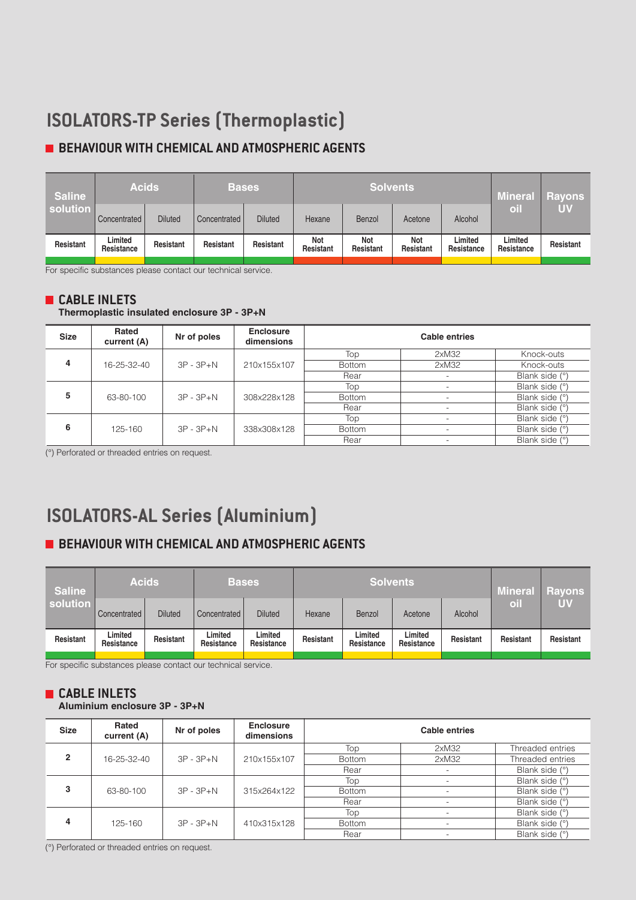# **ISOLATORS-TP Series (Thermoplastic)**

# **BEHAVIOUR WITH CHEMICAL AND ATMOSPHERIC AGENTS**

| <b>Saline</b> | <b>Acids</b>          |                | <b>Bases</b> |                |                  | <b>Solvents</b>  | <b>Mineral</b>   | <b>Rayons</b>         |                       |           |
|---------------|-----------------------|----------------|--------------|----------------|------------------|------------------|------------------|-----------------------|-----------------------|-----------|
| solution      | Concentrated          | <b>Diluted</b> | Concentrated | <b>Diluted</b> | Hexane           | <b>Benzol</b>    | Acetone          | Alcohol               | oil                   | <b>UV</b> |
| Resistant     | Limited<br>Resistance | Resistant      | Resistant    | Resistant      | Not<br>Resistant | Not<br>Resistant | Not<br>Resistant | Limited<br>Resistance | Limited<br>Resistance | Resistant |

For specific substances please contact our technical service.

#### **CABLE INLETS**

#### **Thermoplastic insulated enclosure 3P - 3P+N**

| <b>Size</b> | Rated<br>current (A) | Nr of poles   | <b>Enclosure</b><br>dimensions | <b>Cable entries</b> |                          |                |  |  |  |  |  |               |                          |                |
|-------------|----------------------|---------------|--------------------------------|----------------------|--------------------------|----------------|--|--|--|--|--|---------------|--------------------------|----------------|
| 4           |                      |               |                                | Top                  | 2xM32                    | Knock-outs     |  |  |  |  |  |               |                          |                |
|             | 16-25-32-40          | $3P - 3P + N$ | 210x155x107                    | <b>Bottom</b>        | 2xM32                    | Knock-outs     |  |  |  |  |  |               |                          |                |
|             |                      |               |                                | Rear                 | $\overline{\phantom{0}}$ | Blank side (°) |  |  |  |  |  |               |                          |                |
|             | 63-80-100            | $3P - 3P + N$ |                                | Top                  | $\overline{\phantom{a}}$ | Blank side (°) |  |  |  |  |  |               |                          |                |
| 5           |                      |               | 308x228x128                    | <b>Bottom</b>        | $\overline{\phantom{a}}$ | Blank side (°) |  |  |  |  |  |               |                          |                |
|             |                      |               |                                | Rear                 | $\overline{\phantom{a}}$ | Blank side (°) |  |  |  |  |  |               |                          |                |
|             |                      |               |                                | Top                  | $\overline{\phantom{0}}$ | Blank side (°) |  |  |  |  |  |               |                          |                |
| 6           | 125-160              | $3P - 3P + N$ | 338x308x128                    |                      |                          |                |  |  |  |  |  | <b>Bottom</b> | $\overline{\phantom{0}}$ | Blank side (°) |
|             |                      |               |                                | Rear                 | $\overline{\phantom{a}}$ | Blank side (°) |  |  |  |  |  |               |                          |                |

(°) Perforated or threaded entries on request.

# **ISOLATORS-AL Series (Aluminium)**

### **BEHAVIOUR WITH CHEMICAL AND ATMOSPHERIC AGENTS**

| <b>Acids</b><br>solution |                | <b>Bases</b>          |                       |        |                       | <b>Mineral</b>        | <b>Rayons</b>   |           |           |
|--------------------------|----------------|-----------------------|-----------------------|--------|-----------------------|-----------------------|-----------------|-----------|-----------|
| Concentrated             | <b>Diluted</b> | Concentrated          | <b>Diluted</b>        | Hexane | Benzol                | Acetone               | Alcohol         | oil       | UV        |
| Limited<br>Resistance    | Resistant      | Limited<br>Resistance | Limited<br>Resistance |        | Limited<br>Resistance | Limited<br>Resistance | Resistant       | Resistant | Resistant |
|                          |                |                       |                       |        | Resistant             |                       | <b>Solvents</b> |           |           |

For specific substances please contact our technical service.

#### **CABLE INLETS Aluminium enclosure 3P - 3P+N**

| <b>Size</b>    | Rated<br>current (A) | Nr of poles   | <b>Enclosure</b><br>dimensions | <b>Cable entries</b> |                          |                  |  |  |  |  |
|----------------|----------------------|---------------|--------------------------------|----------------------|--------------------------|------------------|--|--|--|--|
|                |                      |               |                                | Top                  | 2xM32                    | Threaded entries |  |  |  |  |
| $\mathfrak{p}$ | 16-25-32-40          | $3P - 3P + N$ | 210x155x107                    | <b>Bottom</b>        | 2xM32                    | Threaded entries |  |  |  |  |
|                |                      |               |                                | Rear                 |                          | Blank side (°)   |  |  |  |  |
|                | 63-80-100            | $3P - 3P + N$ |                                | Top                  |                          | Blank side (°)   |  |  |  |  |
| 3              |                      |               | 315x264x122                    | <b>Bottom</b>        |                          | Blank side (°)   |  |  |  |  |
|                |                      |               |                                | Rear                 | $\overline{\phantom{0}}$ | Blank side (°)   |  |  |  |  |
|                |                      |               |                                | Top                  |                          | Blank side (°)   |  |  |  |  |
| $\overline{4}$ | 125-160              | $3P - 3P + N$ | 410x315x128                    | <b>Bottom</b>        | $\overline{\phantom{0}}$ | Blank side (°)   |  |  |  |  |
|                |                      |               |                                | Rear                 |                          | Blank side (°)   |  |  |  |  |

(°) Perforated or threaded entries on request.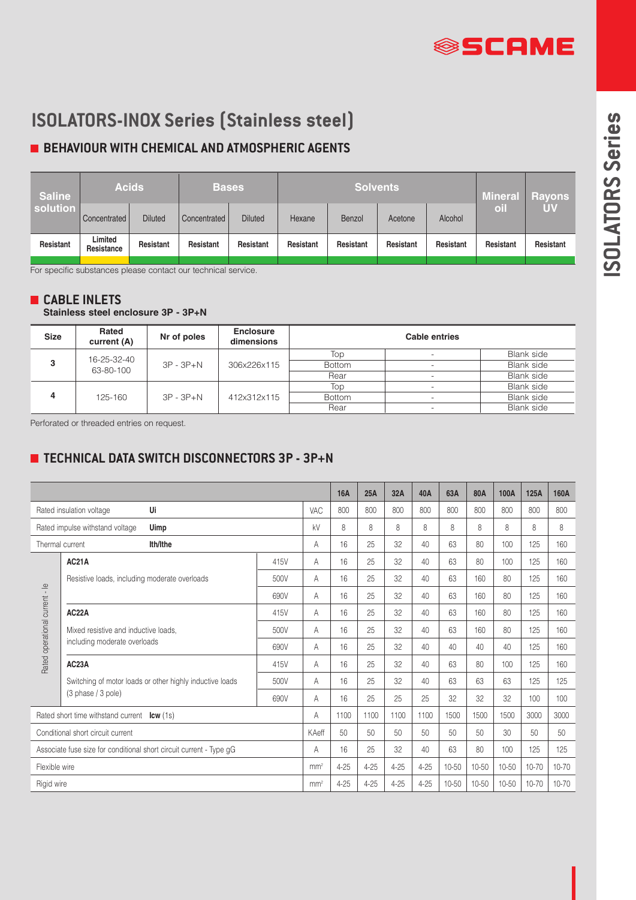# **SSCAME**

# **ISOLATORS-INOX Series (Stainless steel)**

# **BEHAVIOUR WITH CHEMICAL AND ATMOSPHERIC AGENTS**

| <b>Saline</b><br>solution | <b>Acids</b>          |                | <b>Bases</b>        |                |           | <b>Solvents</b> | <b>Mineral</b> | <b>Rayons</b> |           |           |
|---------------------------|-----------------------|----------------|---------------------|----------------|-----------|-----------------|----------------|---------------|-----------|-----------|
|                           | Concentrated          | <b>Diluted</b> | <b>Concentrated</b> | <b>Diluted</b> | Hexane    | Benzol          | Acetone        | Alcohol       | oil       | <b>UV</b> |
| Resistant                 | Limited<br>Resistance | Resistant      | Resistant           | Resistant      | Resistant | Resistant       | Resistant      | Resistant     | Resistant | Resistant |

For specific substances please contact our technical service.

### **CABLE INLETS**

**Stainless steel enclosure 3P - 3P+N**

| <b>Size</b> | Rated<br>current (A) | Nr of poles   | <b>Enclosure</b><br>dimensions | <b>Cable entries</b> |                          |                   |  |  |  |
|-------------|----------------------|---------------|--------------------------------|----------------------|--------------------------|-------------------|--|--|--|
| 3           | 16-25-32-40          |               |                                | Top                  | $\overline{\phantom{a}}$ | Blank side        |  |  |  |
|             | 63-80-100            | $3P - 3P + N$ | 306x226x115                    | <b>Bottom</b>        | $\overline{\phantom{0}}$ | Blank side        |  |  |  |
|             |                      |               |                                | Rear                 | $\overline{\phantom{0}}$ | <b>Blank side</b> |  |  |  |
|             |                      |               | 412x312x115                    | Top                  | $\overline{\phantom{0}}$ | Blank side        |  |  |  |
| Δ           | 125-160              | $3P - 3P + N$ |                                | <b>Bottom</b>        |                          | Blank side        |  |  |  |
|             |                      |               |                                | Rear                 | $\overline{\phantom{a}}$ | Blank side        |  |  |  |

Perforated or threaded entries on request.

## **TECHNICAL DATA SWITCH DISCONNECTORS 3P - 3P+N**

|                                                                     |                                                          |      | <b>16A</b>      | 25A      | 32A      | 40A      | 63A      | 80A   | 100A  | 125A  | 160A      |       |
|---------------------------------------------------------------------|----------------------------------------------------------|------|-----------------|----------|----------|----------|----------|-------|-------|-------|-----------|-------|
|                                                                     | Ui<br>Rated insulation voltage                           | VAC  | 800             | 800      | 800      | 800      | 800      | 800   | 800   | 800   | 800       |       |
|                                                                     | Rated impulse withstand voltage<br>Uimp                  |      | kV              | 8        | 8        | 8        | 8        | 8     | 8     | 8     | 8         | 8     |
|                                                                     | Thermal current<br>Ith/Ithe                              |      | A               | 16       | 25       | 32       | 40       | 63    | 80    | 100   | 125       | 160   |
|                                                                     | <b>AC21A</b>                                             | 415V | A               | 16       | 25       | 32       | 40       | 63    | 80    | 100   | 125       | 160   |
|                                                                     | Resistive loads, including moderate overloads            | 500V | A               | 16       | 25       | 32       | 40       | 63    | 160   | 80    | 125       | 160   |
|                                                                     |                                                          | 690V | Α               | 16       | 25       | 32       | 40       | 63    | 160   | 80    | 125       | 160   |
|                                                                     | AC <sub>2</sub> 2A                                       | 415V | A               | 16       | 25       | 32       | 40       | 63    | 160   | 80    | 125       | 160   |
|                                                                     | Mixed resistive and inductive loads,                     | 500V | Α               | 16       | 25       | 32       | 40       | 63    | 160   | 80    | 125       | 160   |
|                                                                     | including moderate overloads                             | 690V | A               | 16       | 25       | 32       | 40       | 40    | 40    | 40    | 125       | 160   |
| Rated operational current - le                                      | AC23A                                                    | 415V | A               | 16       | 25       | 32       | 40       | 63    | 80    | 100   | 125       | 160   |
|                                                                     | Switching of motor loads or other highly inductive loads | 500V | A               | 16       | 25       | 32       | 40       | 63    | 63    | 63    | 125       | 125   |
|                                                                     | (3 phase / 3 pole)                                       | 690V | A               | 16       | 25       | 25       | 25       | 32    | 32    | 32    | 100       | 100   |
|                                                                     | Rated short time withstand current <b>Icw</b> (1s)       |      | A               | 1100     | 1100     | 1100     | 1100     | 1500  | 1500  | 1500  | 3000      | 3000  |
| Conditional short circuit current                                   |                                                          |      | KAeff           | 50       | 50       | 50       | 50       | 50    | 50    | 30    | 50        | 50    |
| Associate fuse size for conditional short circuit current - Type qG |                                                          |      | Α               | 16       | 25       | 32       | 40       | 63    | 80    | 100   | 125       | 125   |
| Flexible wire                                                       |                                                          |      | mm <sup>2</sup> | $4 - 25$ | $4 - 25$ | $4 - 25$ | $4 - 25$ | 10-50 | 10-50 | 10-50 | $10 - 70$ | 10-70 |
| Rigid wire                                                          |                                                          |      |                 | $4 - 25$ | $4 - 25$ | $4 - 25$ | $4 - 25$ | 10-50 | 10-50 | 10-50 | $10 - 70$ | 10-70 |